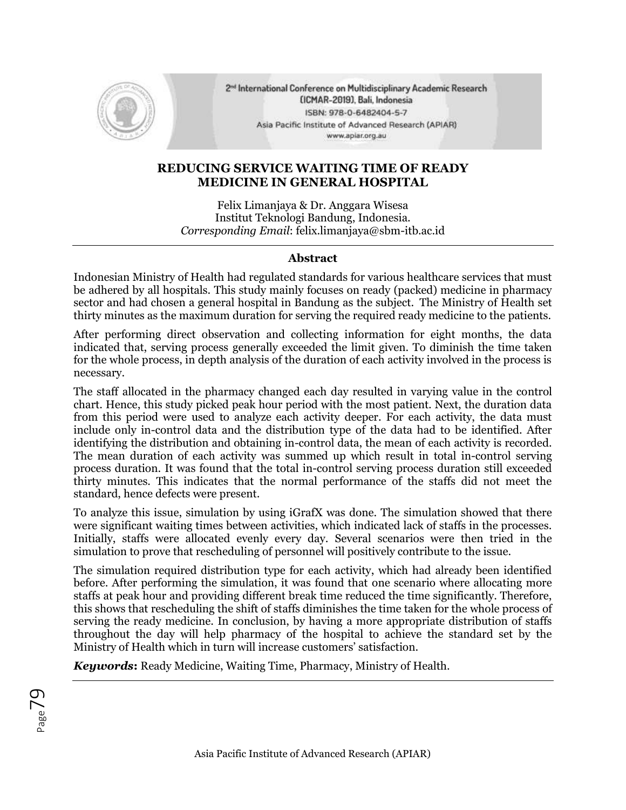

2<sup>nd</sup> International Conference on Multidisciplinary Academic Research (ICMAR-2019), Bali, Indonesia ISBN: 978-0-6482404-5-7 Asia Pacific Institute of Advanced Research (APIAR) www.apiar.org.au

## **REDUCING SERVICE WAITING TIME OF READY MEDICINE IN GENERAL HOSPITAL**

Felix Limanjaya & Dr. Anggara Wisesa Institut Teknologi Bandung, Indonesia. *Corresponding Email*: felix.limanjaya@sbm-itb.ac.id

## **Abstract**

Indonesian Ministry of Health had regulated standards for various healthcare services that must be adhered by all hospitals. This study mainly focuses on ready (packed) medicine in pharmacy sector and had chosen a general hospital in Bandung as the subject. The Ministry of Health set thirty minutes as the maximum duration for serving the required ready medicine to the patients.

After performing direct observation and collecting information for eight months, the data indicated that, serving process generally exceeded the limit given. To diminish the time taken for the whole process, in depth analysis of the duration of each activity involved in the process is necessary.

The staff allocated in the pharmacy changed each day resulted in varying value in the control chart. Hence, this study picked peak hour period with the most patient. Next, the duration data from this period were used to analyze each activity deeper. For each activity, the data must include only in-control data and the distribution type of the data had to be identified. After identifying the distribution and obtaining in-control data, the mean of each activity is recorded. The mean duration of each activity was summed up which result in total in-control serving process duration. It was found that the total in-control serving process duration still exceeded thirty minutes. This indicates that the normal performance of the staffs did not meet the standard, hence defects were present.

To analyze this issue, simulation by using iGrafX was done. The simulation showed that there were significant waiting times between activities, which indicated lack of staffs in the processes. Initially, staffs were allocated evenly every day. Several scenarios were then tried in the simulation to prove that rescheduling of personnel will positively contribute to the issue.

The simulation required distribution type for each activity, which had already been identified before. After performing the simulation, it was found that one scenario where allocating more staffs at peak hour and providing different break time reduced the time significantly. Therefore, this shows that rescheduling the shift of staffs diminishes the time taken for the whole process of serving the ready medicine. In conclusion, by having a more appropriate distribution of staffs throughout the day will help pharmacy of the hospital to achieve the standard set by the Ministry of Health which in turn will increase customers' satisfaction.

*Keywords***:** Ready Medicine, Waiting Time, Pharmacy, Ministry of Health.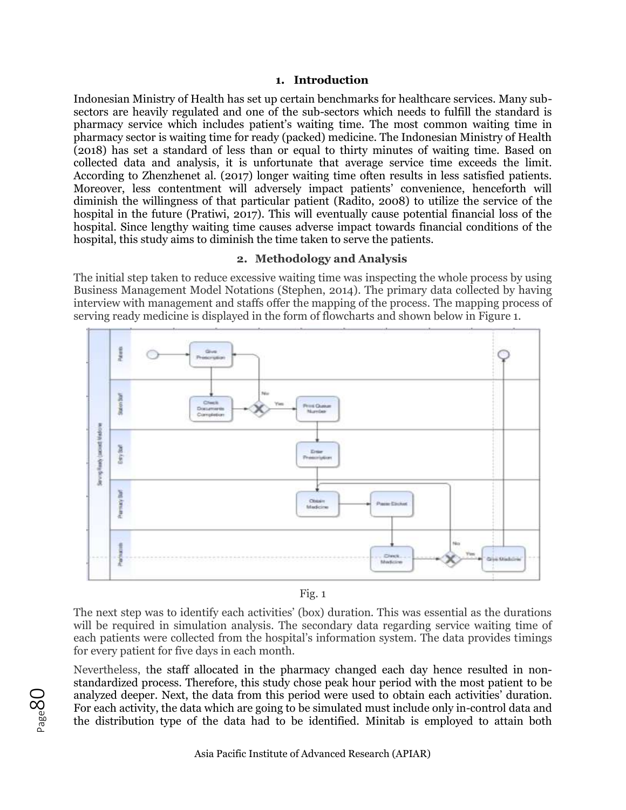#### **1. Introduction**

Indonesian Ministry of Health has set up certain benchmarks for healthcare services. Many subsectors are heavily regulated and one of the sub-sectors which needs to fulfill the standard is pharmacy service which includes patient's waiting time. The most common waiting time in pharmacy sector is waiting time for ready (packed) medicine. The Indonesian Ministry of Health (2018) has set a standard of less than or equal to thirty minutes of waiting time. Based on collected data and analysis, it is unfortunate that average service time exceeds the limit. According to Zhenzhenet al. (2017) longer waiting time often results in less satisfied patients. Moreover, less contentment will adversely impact patients' convenience, henceforth will diminish the willingness of that particular patient (Radito, 2008) to utilize the service of the hospital in the future (Pratiwi, 2017). This will eventually cause potential financial loss of the hospital. Since lengthy waiting time causes adverse impact towards financial conditions of the hospital, this study aims to diminish the time taken to serve the patients.

#### **2. Methodology and Analysis**

The initial step taken to reduce excessive waiting time was inspecting the whole process by using Business Management Model Notations (Stephen, 2014). The primary data collected by having interview with management and staffs offer the mapping of the process. The mapping process of serving ready medicine is displayed in the form of flowcharts and shown below in Figure 1.



Fig. 1

The next step was to identify each activities' (box) duration. This was essential as the durations will be required in simulation analysis. The secondary data regarding service waiting time of each patients were collected from the hospital's information system. The data provides timings for every patient for five days in each month.

Nevertheless, the staff allocated in the pharmacy changed each day hence resulted in nonstandardized process. Therefore, this study chose peak hour period with the most patient to be analyzed deeper. Next, the data from this period were used to obtain each activities' duration. For each activity, the data which are going to be simulated must include only in-control data and the distribution type of the data had to be identified. Minitab is employed to attain both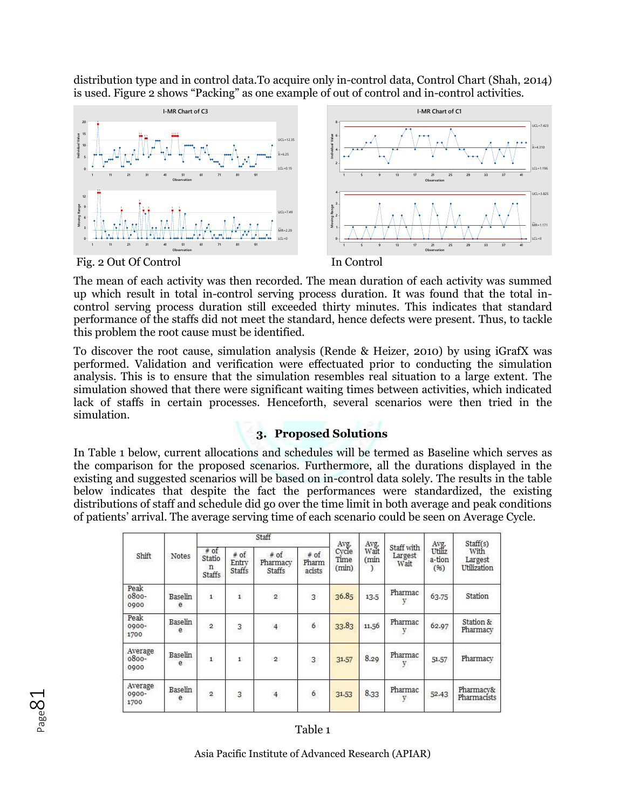distribution type and in control data.To acquire only in-control data, Control Chart (Shah, 2014) is used. Figure 2 shows "Packing" as one example of out of control and in-control activities.



The mean of each activity was then recorded. The mean duration of each activity was summed up which result in total in-control serving process duration. It was found that the total incontrol serving process duration still exceeded thirty minutes. This indicates that standard performance of the staffs did not meet the standard, hence defects were present. Thus, to tackle this problem the root cause must be identified.

To discover the root cause, simulation analysis (Rende & Heizer, 2010) by using iGrafX was performed. Validation and verification were effectuated prior to conducting the simulation analysis. This is to ensure that the simulation resembles real situation to a large extent. The simulation showed that there were significant waiting times between activities, which indicated lack of staffs in certain processes. Henceforth, several scenarios were then tried in the simulation.

# **3. Proposed Solutions**

In Table 1 below, current allocations and schedules will be termed as Baseline which serves as the comparison for the proposed scenarios. Furthermore, all the durations displayed in the existing and suggested scenarios will be based on in-control data solely. The results in the table below indicates that despite the fact the performances were standardized, the existing distributions of staff and schedule did go over the time limit in both average and peak conditions of patients' arrival. The average serving time of each scenario could be seen on Average Cycle.

| Shift                       | Notes        |                                        |                                  | Staff                               | Avg.                    |                        |                                       |                               | Staff(s)                         |                                 |
|-----------------------------|--------------|----------------------------------------|----------------------------------|-------------------------------------|-------------------------|------------------------|---------------------------------------|-------------------------------|----------------------------------|---------------------------------|
|                             |              | $#$ of<br>Statio<br>n<br><b>Staffs</b> | $#$ of<br>Entry<br><b>Staffs</b> | $#$ of<br>Pharmacy<br><b>Staffs</b> | # of<br>Pharm<br>acists | Cycle<br>Time<br>(min) | Avg.<br>Wait<br>(min<br>$\mathcal{I}$ | Staff with<br>Largest<br>Wait | Avg.<br>Utiliz<br>a-tion<br>(96) | With<br>Largest<br>Utilization  |
| Peak<br>$0800 -$<br>0900    | Baselin<br>e | $\mathbf{1}$                           | $\mathbf{i}$                     | $\overline{2}$                      | $\overline{3}$          | 36.85                  | 13.5                                  | Pharmac<br>V                  | 63.75                            | Station                         |
| Peak<br>$0000 -$<br>1700    | Baselin<br>e | $\overline{2}$                         | 3                                | $\overline{4}$                      | 6                       | 33.83                  | 11.56                                 | Pharmac                       | 62.97                            | Station &<br>Pharmacy           |
| Average<br>$0800 -$<br>0900 | Baselin<br>e | $\mathbf{1}^\circ$                     | $\mathbf{1}$                     | $^{2}$                              | $\overline{3}$          | 31.57                  | 8.29                                  | Pharmac                       | 51.57                            | Pharmacy                        |
| Average<br>0900-<br>1700    | Baselin<br>e | 2                                      | 3                                | $\overline{4}$                      | $\mathbf{6}$            | 31.53                  | 8.33                                  | Pharmac<br>y                  | 52.43                            | Pharmacy&<br><b>Pharmacists</b> |



## Table 1

Asia Pacific Institute of Advanced Research (APIAR)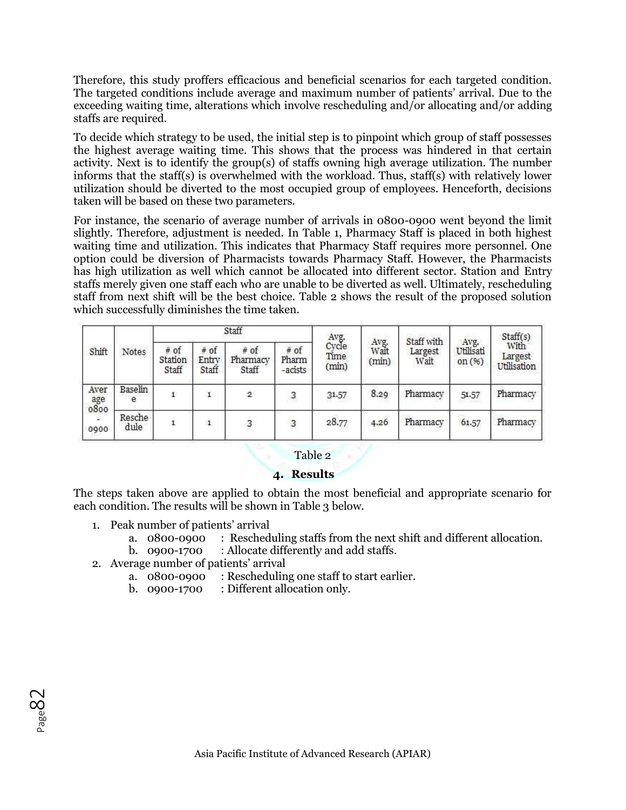Therefore, this study proffers efficacious and beneficial scenarios for each targeted condition. The targeted conditions include average and maximum number of patients' arrival. Due to the exceeding waiting time, alterations which involve rescheduling and/or allocating and/or adding staffs are required.

To decide which strategy to be used, the initial step is to pinpoint which group of staff possesses the highest average waiting time. This shows that the process was hindered in that certain activity. Next is to identify the group(s) of staffs owning high average utilization. The number informs that the staff(s) is overwhelmed with the workload. Thus, staff(s) with relatively lower utilization should be diverted to the most occupied group of employees. Henceforth, decisions taken will be based on these two parameters.

For instance, the scenario of average number of arrivals in 0800-0900 went beyond the limit slightly. Therefore, adjustment is needed. In Table 1, Pharmacy Staff is placed in both highest waiting time and utilization. This indicates that Pharmacy Staff requires more personnel. One option could be diversion of Pharmacists towards Pharmacy Staff. However, the Pharmacists has high utilization as well which cannot be allocated into different sector. Station and Entry staffs merely given one staff each who are unable to be diverted as well. Ultimately, rescheduling staff from next shift will be the best choice. Table 2 shows the result of the proposed solution which successfully diminishes the time taken.

| Shift                       | Notes          |                            |                          | Staff                       |                          | Avg.<br>Cycle<br>Time<br>(min) | Avg.<br>Walt<br>(min) | Staff with<br>Largest<br>Wait | Avg.<br>Utilisati<br>on $(96)$ | Staff(s)<br>With<br>Largest<br>Utilisation |
|-----------------------------|----------------|----------------------------|--------------------------|-----------------------------|--------------------------|--------------------------------|-----------------------|-------------------------------|--------------------------------|--------------------------------------------|
|                             |                | $#$ of<br>Station<br>Staff | $#$ of<br>Entry<br>Staff | $#$ of<br>Pharmacy<br>Staff | # of<br>Pharm<br>-acists |                                |                       |                               |                                |                                            |
| Aver<br>age<br>0800<br>0900 | Baselin<br>е   |                            | $\mathbf{1}$             | $\mathbf{2}$                | 3<br>ne                  | 31.57                          | 8.29                  | Pharmacy                      | 51.57                          | Pharmacy                                   |
|                             | Resche<br>dule |                            | а                        | 3                           | 3                        | 28.77                          | 4.26                  | Pharmacy                      | 61.57                          | Pharmacy                                   |

## Table 2

## **4. Results**

The steps taken above are applied to obtain the most beneficial and appropriate scenario for each condition. The results will be shown in Table 3 below.

- 1. Peak number of patients' arrival
	- a. 0800-0900 : Rescheduling staffs from the next shift and different allocation.
	- b. 0900-1700 : Allocate differently and add staffs.
- 2. Average number of patients' arrival
	- a. 0800-0900 : Rescheduling one staff to start earlier.
	- b. 0900-1700 : Different allocation only.

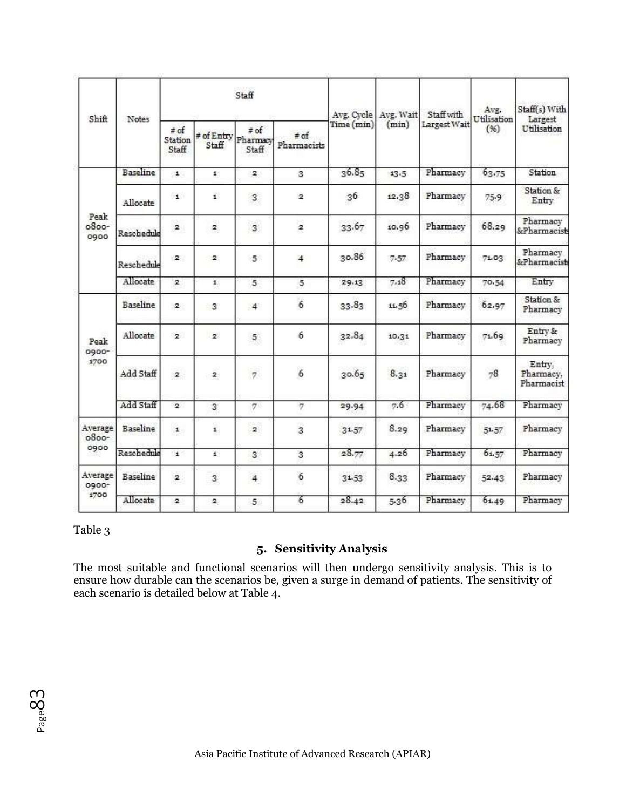| Shift                   | Notes           |                               |                     | Staff                       |                          | Avg. Cycle Avg. Wait<br>Time (min) | (min) | Staff with<br>Largest Wait | Avg.<br>Utilisation<br>(96) | Staff(s) With<br>Largest<br>Utilisation |
|-------------------------|-----------------|-------------------------------|---------------------|-----------------------------|--------------------------|------------------------------------|-------|----------------------------|-----------------------------|-----------------------------------------|
|                         |                 | $\neq$ of<br>Station<br>Staff | # of Entry<br>Staff | $#$ of<br>Pharmacy<br>Staff | $\neq$ of<br>Pharmacists |                                    |       |                            |                             |                                         |
|                         | <b>Baseline</b> | $\pm$                         | $\pm$ :             | $\mathbf{2}$                | 3                        | 36.85                              | 13.5  | Pharmacy                   | 63.75                       | Station                                 |
| Peak<br>$0800-$<br>0900 | Allocate        | $\mathbf{1}$                  | £.                  | 3                           | $\overline{2}$           | 36                                 | 12.38 | Pharmacy                   | 75.9                        | Station &<br>Entry                      |
|                         | Reschedule      | $\mathbf{2}$                  | $\mathbf{z}$        | 3                           | $\mathbf{z}$             | 33.67                              | 10.96 | Pharmacy                   | 68.29                       | Pharmacy<br>&Pharmacists                |
|                         | Reschedule      | 2                             | $\overline{2}$      | $5^{\circ}$                 | 4                        | 30.86                              | 7.57  | Pharmacy                   | 71.03                       | Pharmacy<br>&Pharmacists                |
|                         | Allocate        | $\overline{2}$                | $\mathbf{1}$        | 5                           | 5                        | 29.13                              | 7.18  | Pharmacy                   | 70.54                       | Entry                                   |
|                         | Baseline        | 2.                            | - 3                 | 4                           | $\epsilon$               | 33.83                              | 11.56 | Pharmacy                   | 62.97                       | Station &<br>Pharmacy                   |
| Peak<br>0900-<br>1700   | Allocate        | $\overline{2}$                | $\mathbf{z}$        | 5 <sup>1</sup>              | 6                        | 32.84                              | 10.31 | Pharmacy                   | 71.69                       | Entry &<br>Pharmacy                     |
|                         | Add Staff       | $\mathbf{2}$                  | $\mathbf{2}$        | 7.                          | $\overline{6}$           | 30.65                              | 8.31  | Pharmacy                   | 78                          | Entry,<br>Pharmacy,<br>Pharmacist       |
|                         | Add Staff       | $\overline{2}$                | 3                   | $\sigma$                    | $\overline{\sigma}$      | 29.94                              | 7.6   | Pharmacy                   | 74.68                       | Pharmacy                                |
| Average<br>$0800-$      | Baseline        | $\mathbf{1}$                  | $\pmb{\mathsf{1}}$  | $\overline{\mathbf{z}}$     | 3                        | 31.57                              | 8.29  | Pharmacy                   | 51.57                       | Pharmacy                                |
| 0900                    | Reschedule      | $\mathbf{t}$                  | $\mathbf{1}$        | 3                           | 3                        | 28.77                              | 4.26  | Pharmacy                   | 61.57                       | Pharmacy                                |
| Average<br>0900-        | Baseline        | $\overline{\mathbf{z}}$       | 3                   | $\overline{4}$              | 6                        | 31.53                              | 8.33  | Pharmacy                   | 52.43                       | Pharmacy                                |
| 1700                    | Allocate        | 2                             | 2.                  | 5 <sup>°</sup>              | 6                        | 28.42                              | 5.36  | Pharmacy                   | 61.49                       | Pharmacy                                |

Table 3

# **5. Sensitivity Analysis**

The most suitable and functional scenarios will then undergo sensitivity analysis. This is to ensure how durable can the scenarios be, given a surge in demand of patients. The sensitivity of each scenario is detailed below at Table 4.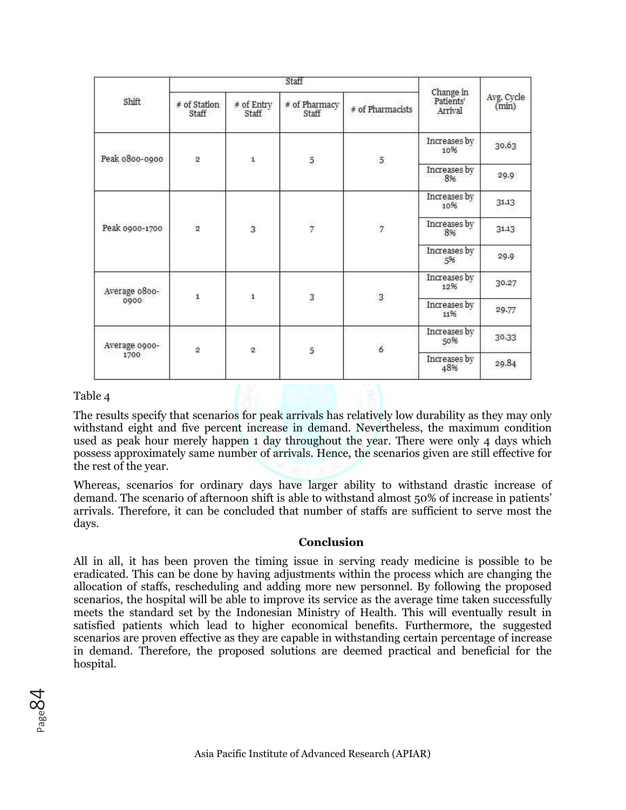| Shift          | # of Station<br>Staff | $#$ of Entry<br>Staff | $#$ of Pharmacy<br>Staff | # of Pharmacists | Change in<br>Patients'<br>Arrival | Avg. Cycle<br>(min) |
|----------------|-----------------------|-----------------------|--------------------------|------------------|-----------------------------------|---------------------|
| Peak 0800-0900 | 2                     | $\mathbf{1}$          |                          | 5                | Increases by<br>10%               | 30.63               |
|                |                       |                       | 5                        |                  | Increases by<br>8%                | 29.9                |
|                | $\frac{1}{2}$         | $\overline{3}$        | $\overline{7}$           | $\overline{7}$   | Increases by<br>10%               | 31.13               |
| Peak 0900-1700 |                       |                       |                          |                  | Increases by<br>8%                | 31.13               |
|                |                       |                       |                          |                  | Increases by<br>5%                | 29.9                |
| Average 0800-  | $\mathbf{1}$          | $\mathbf{1}$          |                          | $\overline{3}$   | Increases by<br>12%               | 30.27               |
| 0900           |                       |                       | 3                        |                  | Increases by<br>11%               | 29.77               |
| Average 0900-  |                       |                       |                          | $6\overline{6}$  | Increases by<br>50%               | 30.33               |
| 1700           | $\overline{2}$        | $\overline{2}$        | 5                        |                  | Increases by<br>48%               | 29.84               |

#### Table 4

The results specify that scenarios for peak arrivals has relatively low durability as they may only withstand eight and five percent increase in demand. Nevertheless, the maximum condition used as peak hour merely happen 1 day throughout the year. There were only 4 days which possess approximately same number of arrivals. Hence, the scenarios given are still effective for the rest of the year.

Whereas, scenarios for ordinary days have larger ability to withstand drastic increase of demand. The scenario of afternoon shift is able to withstand almost 50% of increase in patients' arrivals. Therefore, it can be concluded that number of staffs are sufficient to serve most the days.

#### **Conclusion**

All in all, it has been proven the timing issue in serving ready medicine is possible to be eradicated. This can be done by having adjustments within the process which are changing the allocation of staffs, rescheduling and adding more new personnel. By following the proposed scenarios, the hospital will be able to improve its service as the average time taken successfully meets the standard set by the Indonesian Ministry of Health. This will eventually result in satisfied patients which lead to higher economical benefits. Furthermore, the suggested scenarios are proven effective as they are capable in withstanding certain percentage of increase in demand. Therefore, the proposed solutions are deemed practical and beneficial for the hospital.